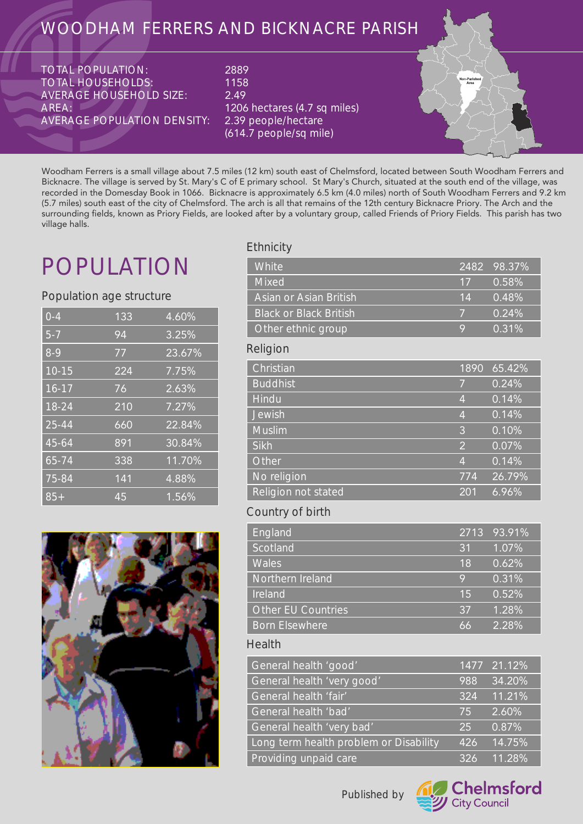## WOODHAM FERRERS AND BICKNACRE PARISH

TOTAL POPULATION: TOTAL HOUSEHOLDS: AVERAGE HOUSEHOLD SIZE: AREA: AVERAGE POPULATION DENSITY: 2889 1158 2.49 1206 hectares (4.7 sq miles)<br>|2.39 peop<u>le/hectare</u> (614.7 people/sq mile)



Woodham Ferrers is a small village about 7.5 miles (12 km) south east of Chelmsford, located between South Woodham Ferrers and Bicknacre. The village is served by St. Mary's C of E primary school. St Mary's Church, situated at the south end of the village, was recorded in the Domesday Book in 1066. Bicknacre is approximately 6.5 km (4.0 miles) north of South Woodham Ferrers and 9.2 km (5.7 miles) south east of the city of Chelmsford. The arch is all that remains of the 12th century Bicknacre Priory. The Arch and the surrounding fields, known as Priory Fields, are looked after by a voluntary group, called Friends of Priory Fields. This parish has two village halls.

## POPULATION

### Population age structure

| $0 - 4$   | 133 | 4.60%  |
|-----------|-----|--------|
| $5 - 7$   | 94  | 3.25%  |
| $8-9$     | 77  | 23.67% |
| $10 - 15$ | 224 | 7.75%  |
| $16 - 17$ | 76  | 2.63%  |
| $18 - 24$ | 210 | 7.27%  |
| 25-44     | 660 | 22.84% |
| 45-64     | 891 | 30.84% |
| 65-74     | 338 | 11.70% |
| 75-84     | 141 | 4.88%  |
| $85+$     | 45  | 1.56%  |



## **Ethnicity**

| White                         | 2482           | 98.37% |
|-------------------------------|----------------|--------|
| <b>Mixed</b>                  | 17             | 0.58%  |
| Asian or Asian British        | 14             | 0.48%  |
| <b>Black or Black British</b> | 7              | 0.24%  |
| Other ethnic group            | 9              | 0.31%  |
| Religion                      |                |        |
| Christian                     | 1890           | 65.42% |
| <b>Buddhist</b>               | 7              | 0.24%  |
| Hindu                         | $\overline{4}$ | 0.14%  |
| Jewish                        | $\overline{4}$ | 0.14%  |
| <b>Muslim</b>                 | 3              | 0.10%  |
| <b>Sikh</b>                   | $\overline{2}$ | 0.07%  |
| Other                         | $\overline{4}$ | 0.14%  |
| No religion                   | 774            | 26.79% |
| Religion not stated           | 201            | 6.96%  |
| Country of birth              |                |        |

#### 93.91% 1.07% 0.62% 0.31% 0.52% 1.28% 2.28% England Scotland **Wales** Northern Ireland Ireland Other EU Countries Born Elsewhere 2713 31 18 9 15 37 66

### Health

| General health 'good'                  |     | 1477 21.12% |
|----------------------------------------|-----|-------------|
| General health 'very good'             | 988 | 34.20%      |
| General health 'fair'                  | 324 | 11.21%      |
| General health 'bad'                   | 75  | 2.60%       |
| General health 'very bad'              | 25  | 0.87%       |
| Long term health problem or Disability | 426 | 14.75%      |
| Providing unpaid care                  | 326 | 11.28%      |

Published by

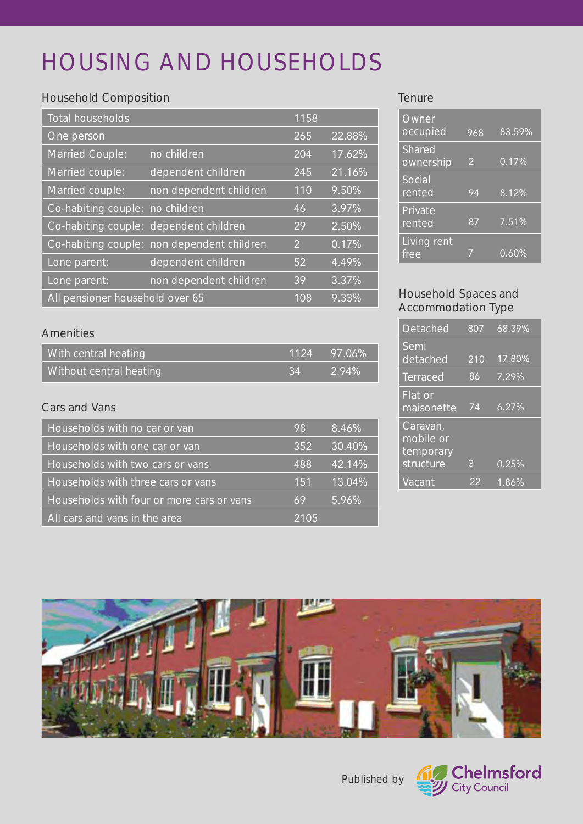# HOUSING AND HOUSEHOLDS

## Household Composition

| Total households                |                                            | 1158 |        |
|---------------------------------|--------------------------------------------|------|--------|
| One person                      |                                            | 265  | 22.88% |
| <b>Married Couple:</b>          | no children                                | 204  | 17.62% |
| Married couple:                 | dependent children                         | 245  | 21.16% |
| Married couple:                 | non dependent children                     | 110  | 9.50%  |
| Co-habiting couple: no children |                                            | 46   | 3.97%  |
|                                 | Co-habiting couple: dependent children     | 29   | 2.50%  |
|                                 | Co-habiting couple: non dependent children | 2    | 0.17%  |
| Lone parent:                    | dependent children                         | 52   | 4.49%  |
| Lone parent:                    | non dependent children                     | 39   | 3.37%  |
| All pensioner household over 65 |                                            | 108  | 9.33%  |

### **Tenure**

| Owner<br>occupied   | 968 | 83.59% |
|---------------------|-----|--------|
| Shared<br>ownership | 2   | 0.17%  |
| Social<br>rented    | 94  | 8.12%  |
| Private<br>rented   | 87  | 7.51%  |
| Living rent<br>free |     | 0.60%  |

## Household Spaces and Accommodation Type

| Detached                                        | 807 | 68.39% |
|-------------------------------------------------|-----|--------|
| Semi<br>detached                                | 210 | 17.80% |
| <b>Terraced</b>                                 | 86  | 7.29%  |
| Flat or<br>maisonette                           | 74  | 6.27%  |
| Caravan,<br>mobile or<br>temporary<br>structure | 3   | 0.25%  |
| Vacant                                          | 22  | 1.86%  |

## Amenities

| With central heating    |     | 1124 97.06% |
|-------------------------|-----|-------------|
| Without central heating | -34 | 2.94%       |

## Cars and Vans

| Households with no car or van             | 98   | 8.46%  |
|-------------------------------------------|------|--------|
| Households with one car or van            | 352  | 30.40% |
| Households with two cars or vans          | 488  | 42.14% |
| Households with three cars or vans        | 151  | 13.04% |
| Households with four or more cars or vans | 69   | 5.96%  |
| All cars and vans in the area             | 2105 |        |



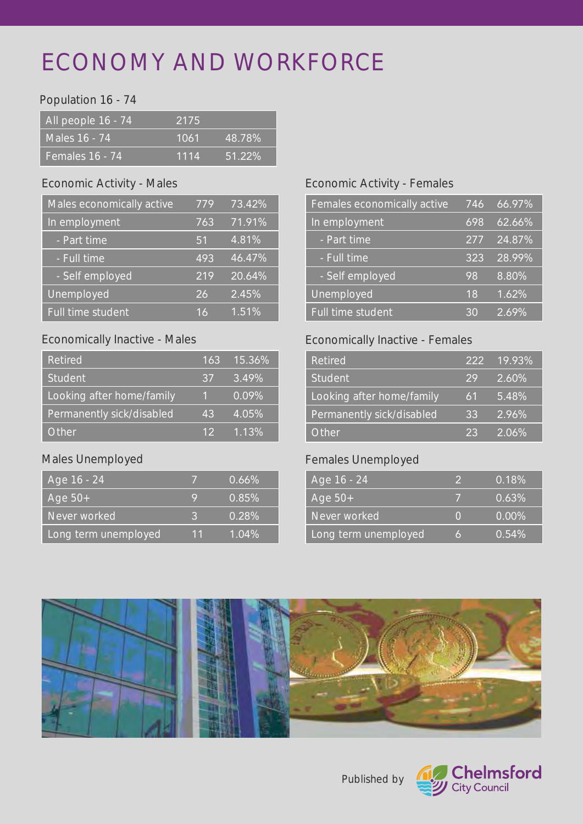## ECONOMY AND WORKFORCE

## Population 16 - 74

| All people 16 - 74 | 2175 |        |
|--------------------|------|--------|
| Males 16 - 74      | 1061 | 48.78% |
| Females 16 - 74    | 1114 | 51.22% |

## Economic Activity - Males

| Males economically active | 779 | 73.42%    |
|---------------------------|-----|-----------|
| In employment             | 763 | 71.91%    |
| - Part time               | 51  | 4.81%     |
| - Full time               | 493 | 46.47%    |
| - Self employed           | 219 | $20.64\%$ |
| Unemployed                | 26  | 2.45%     |
| <b>Full time student</b>  | 16  | 1.51%     |

## Economically Inactive - Males

| Retired                   | 163             | 15.36% |
|---------------------------|-----------------|--------|
| <b>Student</b>            | 37              | 3.49%  |
| Looking after home/family | 1.              | 0.09%  |
| Permanently sick/disabled | 43              | 4.05%  |
| Other.                    | 12 <sup>°</sup> | 1.13%  |

## Males Unemployed

| Age 16 - 24          |    | $0.66\%$ |
|----------------------|----|----------|
| Age $50+$            | Q  | 0.85%    |
| Never worked         | R  | $0.28\%$ |
| Long term unemployed | 11 | $1.04\%$ |

## Economic Activity - Females

| Females economically active | 746 | 66.97% |
|-----------------------------|-----|--------|
| In employment               | 698 | 62.66% |
| - Part time                 | 277 | 24.87% |
| - Full time                 | 323 | 28.99% |
| - Self employed             | 98  | 8.80%  |
| Unemployed                  | 18  | 1.62%  |
| <b>Full time student</b>    | 30  | 2.69%  |

## Economically Inactive - Females

| <b>Retired</b>            | 222 | $19.93\%$ |
|---------------------------|-----|-----------|
| <b>Student</b>            | 29  | $2.60\%$  |
| Looking after home/family | 61  | 5.48%     |
| Permanently sick/disabled | 33  | $2.96\%$  |
| Other                     | 23  | 2.06%     |

## Females Unemployed

| Age 16 - 24          | 2      | 0.18%    |
|----------------------|--------|----------|
| Age $50+$            |        | 0.63%    |
| Never worked         | $\cap$ | $0.00\%$ |
| Long term unemployed | 15     | 0.54%    |



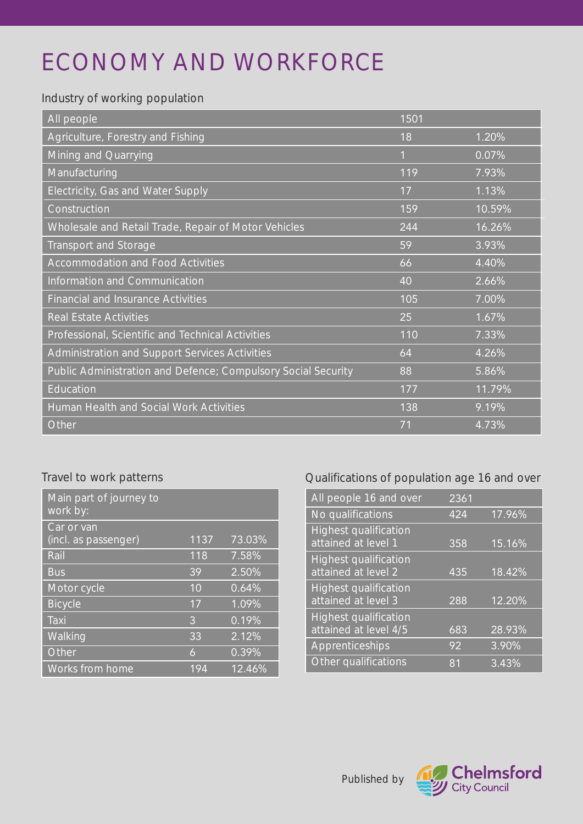# ECONOMY AND WORKFORCE

## Industry of working population

| All people                                                    | 1501         |        |
|---------------------------------------------------------------|--------------|--------|
| Agriculture, Forestry and Fishing                             | 18           | 1.20%  |
| Mining and Quarrying                                          | $\mathbf{1}$ | 0.07%  |
| Manufacturing                                                 | 119          | 7.93%  |
| Electricity, Gas and Water Supply                             | 17           | 1.13%  |
| Construction                                                  | 159          | 10.59% |
| Wholesale and Retail Trade, Repair of Motor Vehicles          | 244          | 16.26% |
| <b>Transport and Storage</b>                                  | 59           | 3.93%  |
| <b>Accommodation and Food Activities</b>                      | 66           | 4.40%  |
| Information and Communication                                 | 40           | 2.66%  |
| <b>Financial and Insurance Activities</b>                     | 105          | 7.00%  |
| <b>Real Estate Activities</b>                                 | 25           | 1.67%  |
| Professional, Scientific and Technical Activities             | 110          | 7.33%  |
| Administration and Support Services Activities                | 64           | 4.26%  |
| Public Administration and Defence; Compulsory Social Security | 88           | 5.86%  |
| Education                                                     | 177          | 11.79% |
| <b>Human Health and Social Work Activities</b>                | 138          | 9.19%  |
| Other                                                         | 71           | 4.73%  |

## Travel to work patterns

| Main part of journey to<br>work by: |      |        |
|-------------------------------------|------|--------|
| Car or van<br>(incl. as passenger)  | 1137 | 73.03% |
| Rail                                | 118  | 7.58%  |
| <b>Bus</b>                          | 39   | 2.50%  |
| Motor cycle                         | 10   | 0.64%  |
| <b>Bicycle</b>                      | 17   | 1.09%  |
| Taxi                                | 3    | 0.19%  |
| Walking                             | 33   | 2.12%  |
| Other                               | 6    | 0.39%  |
| <b>Works from home</b>              | 194  | 12.46% |

## Qualifications of population age 16 and over

| All people 16 and over                                | 2361 |        |
|-------------------------------------------------------|------|--------|
| No qualifications                                     | 424  | 17.96% |
| <b>Highest qualification</b><br>attained at level 1   | 358  | 15.16% |
| <b>Highest qualification</b><br>attained at level 2   | 435  | 18.42% |
| <b>Highest qualification</b><br>attained at level 3   | 288  | 12.20% |
| <b>Highest qualification</b><br>attained at level 4/5 | 683  | 28.93% |
| Apprenticeships                                       | 92   | 3.90%  |
| Other qualifications                                  | 81   | 3.43%  |

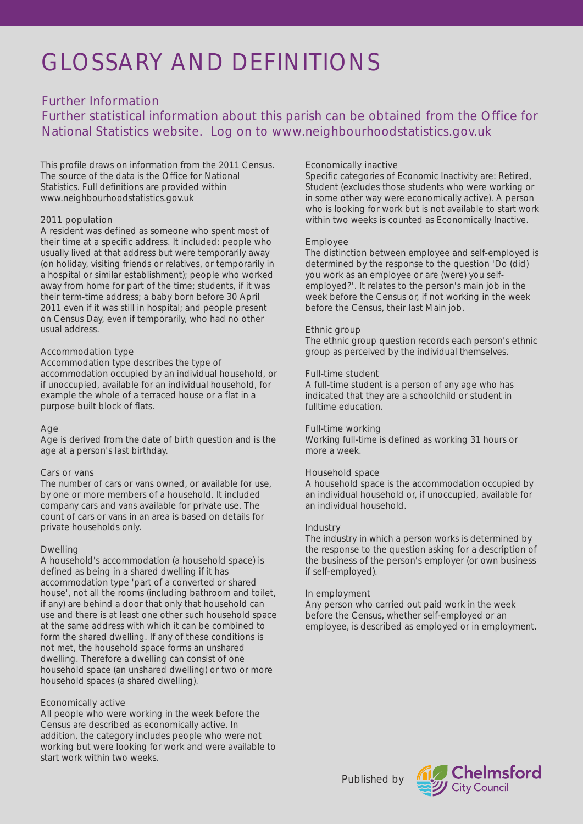## GLOSSARY AND DEFINITIONS

## Further Information

Further statistical information about this parish can be obtained from the Office for National Statistics website. Log on to www.neighbourhoodstatistics.gov.uk

This profile draws on information from the 2011 Census. The source of the data is the Office for National Statistics. Full definitions are provided within www.neighbourhoodstatistics.gov.uk

#### 2011 population

A resident was defined as someone who spent most of their time at a specific address. It included: people who usually lived at that address but were temporarily away (on holiday, visiting friends or relatives, or temporarily in a hospital or similar establishment); people who worked away from home for part of the time; students, if it was their term-time address; a baby born before 30 April 2011 even if it was still in hospital; and people present on Census Day, even if temporarily, who had no other usual address.

#### Accommodation type

Accommodation type describes the type of accommodation occupied by an individual household, or if unoccupied, available for an individual household, for example the whole of a terraced house or a flat in a purpose built block of flats.

### Age

Age is derived from the date of birth question and is the age at a person's last birthday.

#### Cars or vans

The number of cars or vans owned, or available for use, by one or more members of a household. It included company cars and vans available for private use. The count of cars or vans in an area is based on details for private households only.

### Dwelling

A household's accommodation (a household space) is defined as being in a shared dwelling if it has accommodation type 'part of a converted or shared house', not all the rooms (including bathroom and toilet, if any) are behind a door that only that household can use and there is at least one other such household space at the same address with which it can be combined to form the shared dwelling. If any of these conditions is not met, the household space forms an unshared dwelling. Therefore a dwelling can consist of one household space (an unshared dwelling) or two or more household spaces (a shared dwelling).

### Economically active

All people who were working in the week before the Census are described as economically active. In addition, the category includes people who were not working but were looking for work and were available to start work within two weeks.

#### Economically inactive

Specific categories of Economic Inactivity are: Retired, Student (excludes those students who were working or in some other way were economically active). A person who is looking for work but is not available to start work within two weeks is counted as Economically Inactive.

#### Employee

The distinction between employee and self-employed is determined by the response to the question 'Do (did) you work as an employee or are (were) you selfemployed?'. It relates to the person's main job in the week before the Census or, if not working in the week before the Census, their last Main job.

#### Ethnic group

The ethnic group question records each person's ethnic group as perceived by the individual themselves.

#### Full-time student

A full-time student is a person of any age who has indicated that they are a schoolchild or student in fulltime education.

#### Full-time working

Working full-time is defined as working 31 hours or more a week.

#### Household space

A household space is the accommodation occupied by an individual household or, if unoccupied, available for an individual household.

#### Industry

The industry in which a person works is determined by the response to the question asking for a description of the business of the person's employer (or own business if self-employed).

#### In employment

Any person who carried out paid work in the week before the Census, whether self-employed or an employee, is described as employed or in employment.